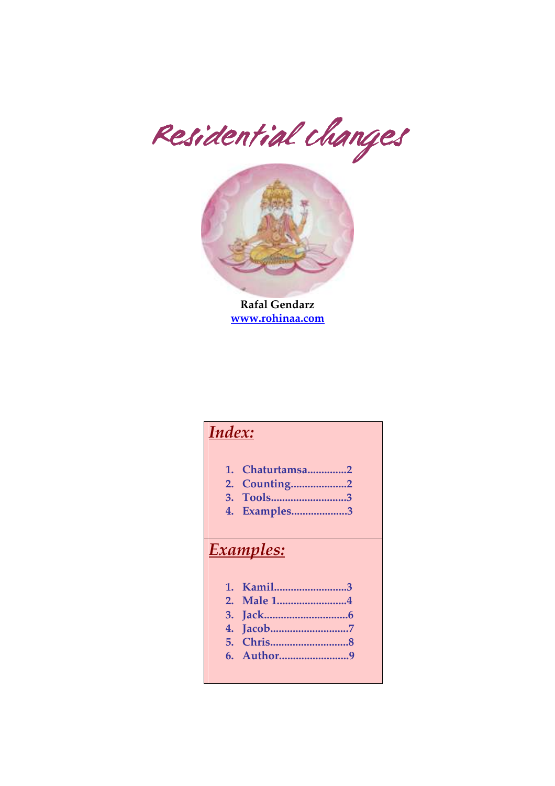Residential changes



Rafal Gendarz www.rohinaa.com

# Index:

- 1. Chaturtamsa..............2
- 2. Counting....................2
- 3. Tools...........................3
- 4. Examples....................3

### Examples:

- 1. Kamil..........................3
- 2. Male 1.........................4
- 3. Jack..............................6
- 4. Jacob............................7
- 5. Chris............................8
- 6. Author.........................9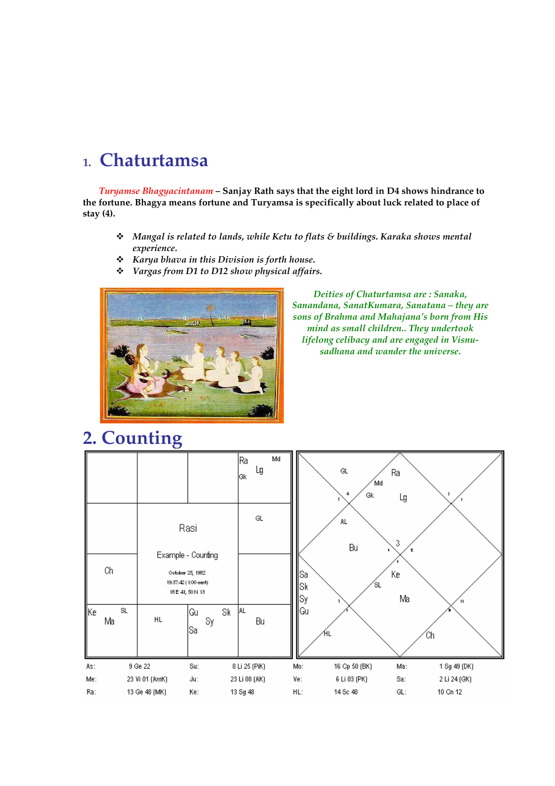# 1. Chaturtamsa

Turyamse Bhagyacintanam – Sanjay Rath says that the eight lord in D4 shows hindrance to the fortune. Bhagya means fortune and Turyamsa is specifically about luck related to place of stay (4).

- Mangal is related to lands, while Ketu to flats & buildings. Karaka shows mental experience.
- $\div$  Karya bhava in this Division is forth house.
- Vargas from D1 to D12 show physical affairs.



Deities of Chaturtamsa are : Sanaka, Sanandana, SanatKumara, Sanatana – they are sons of Brahma and Mahajana's born from His mind as small children.. They undertook lifelong celibacy and are engaged in Visnusadhana and wander the universe.

# 2. Counting

|                    |          |                |                                                                                            | Ra<br>lGk.    | Md<br>Lg                    |                  | $\mathsf{GL}% _{k}(G,\mathbb{C})$<br>Gk<br>4 | Ra<br>Md<br>Lg       |              |
|--------------------|----------|----------------|--------------------------------------------------------------------------------------------|---------------|-----------------------------|------------------|----------------------------------------------|----------------------|--------------|
|                    | Сh       |                | Rasi<br>Example - Counting<br>October 25, 1982<br>19:37:42 (1:00 east)<br>18 E 41, 50 N 13 |               | $\mathsf{GL}% _{n}^{\ast }$ | Sa<br> Sk<br> Sy | AL.<br>Bu                                    | 3<br>Кe<br>΄SL<br>Ma |              |
| $\sqrt{\text{Ke}}$ | SL<br>Ma | HL             | Gu<br>Sy<br> Sa                                                                            | AL<br>Sk      | Bu                          | Gu               | ΉL                                           |                      | Ćh           |
| As:                |          | 9 Ge 22        | Su:                                                                                        | 8 Li 25 (PiK) |                             | Mo:              | 16 Cp 50 (BK)                                | Ma:                  | 1 Sg 49 (DK) |
| Me:                |          | 23 Vi 01 (AmK) | Jut:                                                                                       | 23 Li 08 (AK) |                             | Ve:              | 6 Li 03 (PK)                                 | Sa:                  | 2 Li 24 (GK) |
| Ra:                |          | 13 Ge 48 (MK)  | Ke:                                                                                        | 13 Sg 48      |                             | $HL$ :           | 14 Sc 48                                     | GL:                  | 10 Cn 12     |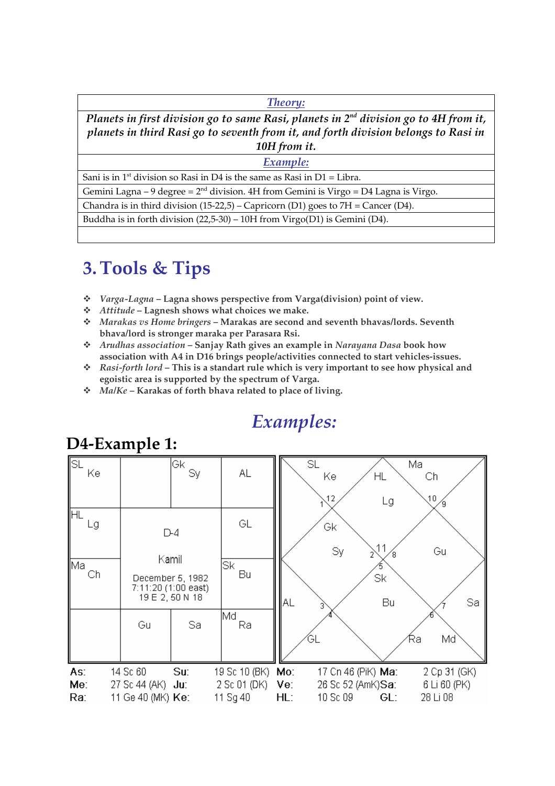Theory:

Planets in first division go to same Rasi, planets in  $2^{nd}$  division go to 4H from it, planets in third Rasi go to seventh from it, and forth division belongs to Rasi in 10H from it.

Example:

Sani is in  $1<sup>st</sup>$  division so Rasi in D4 is the same as Rasi in D1 = Libra.

Gemini Lagna – 9 degree =  $2<sup>nd</sup>$  division. 4H from Gemini is Virgo = D4 Lagna is Virgo.

Chandra is in third division  $(15-22,5)$  – Capricorn  $(D1)$  goes to  $7H =$  Cancer  $(D4)$ .

Buddha is in forth division (22,5-30) – 10H from Virgo(D1) is Gemini (D4).

# 3.Tools & Tips

- Varga-Lagna Lagna shows perspective from Varga(division) point of view.
- $\div$  Attitude Lagnesh shows what choices we make.
- $\div$  Marakas vs Home bringers Marakas are second and seventh bhavas/lords. Seventh bhava/lord is stronger maraka per Parasara Rsi.
- $\hat{\mathbf{x}}$  Arudhas association Sanjay Rath gives an example in Narayana Dasa book how association with A4 in D16 brings people/activities connected to start vehicles-issues.
- $\hat{\mathbf{x}}$  Rasi-forth lord This is a standart rule which is very important to see how physical and egoistic area is supported by the spectrum of Varga.

Examples:

 $\div$  Ma/Ke – Karakas of forth bhava related to place of living.



## D4-Example 1: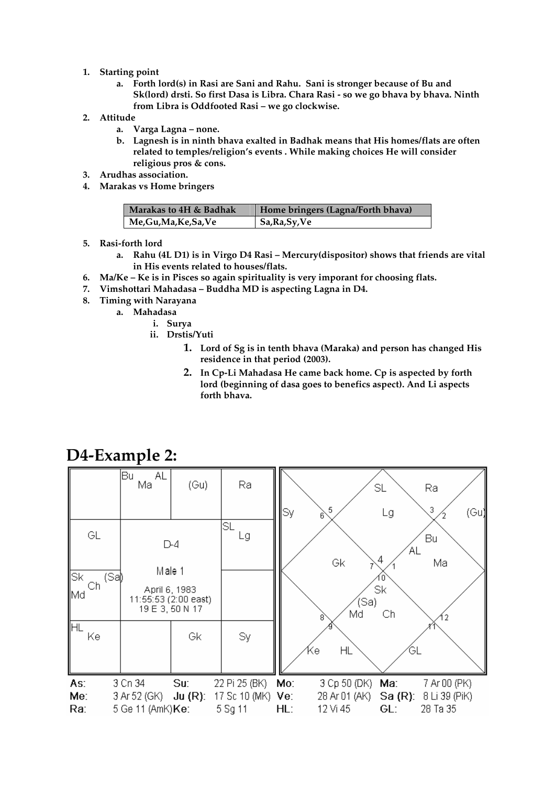### 1. Starting point

- a. Forth lord(s) in Rasi are Sani and Rahu. Sani is stronger because of Bu and Sk(lord) drsti. So first Dasa is Libra. Chara Rasi - so we go bhava by bhava. Ninth from Libra is Oddfooted Rasi – we go clockwise.
- 2. Attitude
	- a. Varga Lagna none.
	- b. Lagnesh is in ninth bhava exalted in Badhak means that His homes/flats are often related to temples/religion's events . While making choices He will consider religious pros & cons.
- 3. Arudhas association.
- 4. Marakas vs Home bringers

| Marakas to 4H & Badhak | Home bringers (Lagna/Forth bhava) |
|------------------------|-----------------------------------|
| Me,Gu,Ma,Ke,Sa,Ve      | Sa, Ra, Sy, Ve                    |

- 5. Rasi-forth lord
	- a. Rahu (4L D1) is in Virgo D4 Rasi Mercury(dispositor) shows that friends are vital in His events related to houses/flats.
- 6. Ma/Ke Ke is in Pisces so again spirituality is very imporant for choosing flats.
- 7. Vimshottari Mahadasa Buddha MD is aspecting Lagna in D4.
- 8. Timing with Narayana
	- a. Mahadasa
		- i. Surya
		- ii. Drstis/Yuti
			- 1. Lord of Sg is in tenth bhava (Maraka) and person has changed His residence in that period (2003).
			- 2. In Cp-Li Mahadasa He came back home. Cp is aspected by forth lord (beginning of dasa goes to benefics aspect). And Li aspects forth bhava.



### D4-Example 2: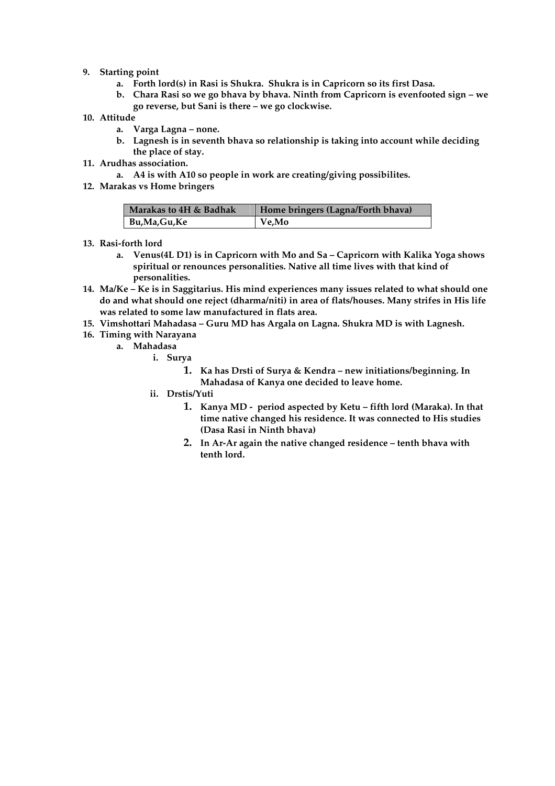#### 9. Starting point

- a. Forth lord(s) in Rasi is Shukra. Shukra is in Capricorn so its first Dasa.
- b. Chara Rasi so we go bhava by bhava. Ninth from Capricorn is evenfooted sign we go reverse, but Sani is there – we go clockwise.
- 10. Attitude
	- a. Varga Lagna none.
	- b. Lagnesh is in seventh bhava so relationship is taking into account while deciding the place of stay.
- 11. Arudhas association.
	- a. A4 is with A10 so people in work are creating/giving possibilites.
- 12. Marakas vs Home bringers

| Marakas to 4H & Badhak | Home bringers (Lagna/Forth bhava) |
|------------------------|-----------------------------------|
| Bu,Ma,Gu,Ke            | $Ve$ , Mo                         |

- 13. Rasi-forth lord
	- a. Venus(4L D1) is in Capricorn with Mo and Sa Capricorn with Kalika Yoga shows spiritual or renounces personalities. Native all time lives with that kind of personalities.
- 14. Ma/Ke Ke is in Saggitarius. His mind experiences many issues related to what should one do and what should one reject (dharma/niti) in area of flats/houses. Many strifes in His life was related to some law manufactured in flats area.
- 15. Vimshottari Mahadasa Guru MD has Argala on Lagna. Shukra MD is with Lagnesh.
- 16. Timing with Narayana
	- a. Mahadasa
		- i. Surya
			- 1. Ka has Drsti of Surya & Kendra new initiations/beginning. In Mahadasa of Kanya one decided to leave home.
		- ii. Drstis/Yuti
			- 1. Kanya MD period aspected by Ketu fifth lord (Maraka). In that time native changed his residence. It was connected to His studies (Dasa Rasi in Ninth bhava)
			- 2. In Ar-Ar again the native changed residence tenth bhava with tenth lord.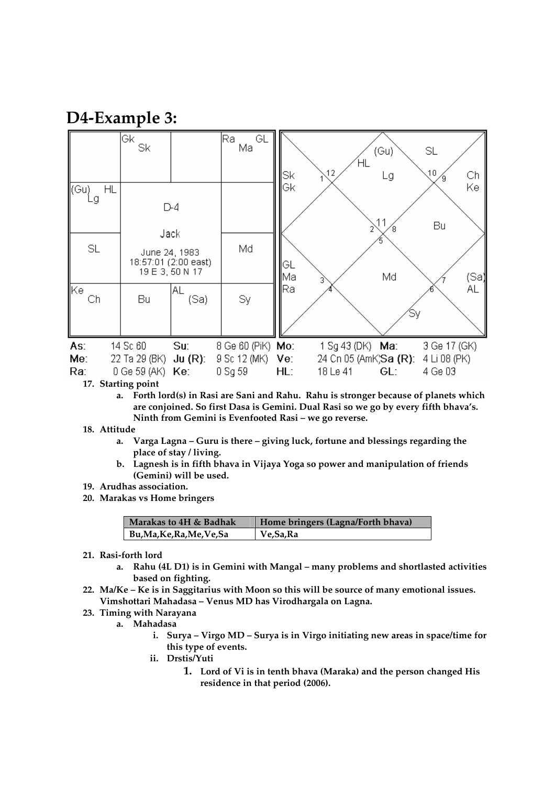### D4-Example 3:

|                         | Gk<br>Sk                                                |                                                | GL<br>lRa.<br>Ma                                        | Sk                | ΗL<br>$\lambda$ 12                                    | (Gu)<br>Lg | SL<br>10<br>Сh<br>Ί9.                   |
|-------------------------|---------------------------------------------------------|------------------------------------------------|---------------------------------------------------------|-------------------|-------------------------------------------------------|------------|-----------------------------------------|
| ∦(Gu)<br>HL<br>-g<br>SL | Jack<br>June 24, 1983                                   | D-4<br>18:57:01 (2:00 east)<br>19 E 3, 50 N 17 | Md                                                      | lGk<br> GL<br>lMa |                                                       | R<br>Md    | Ke<br>Bu<br>(Sa)                        |
| ∥Kel<br>Ch              | Bu                                                      | AL.<br>(Sa)                                    | Sy                                                      | lRa.              |                                                       |            | ΑL                                      |
| As:<br>Me:<br>Ra:       | 14 Sc 60<br>22 Ta 29 (BK)<br>$0$ Ge 59 (AK) <b>Ke</b> : | Su:<br>$Ju(R)$ :                               | 8 Ge 60 (PiK) <b>Mo:</b><br>9 Sc 12 (MK) Ve:<br>0 Sg 59 | HL:               | 1 Sg 43 (DK) Ma:<br>24 Cn 05 (AmK;Sa (R):<br>18 Le 41 | GL:        | 3 Ge 17 (GK)<br>4 Li 08 (PK)<br>4 Ge 03 |

17. Starting point

a. Forth lord(s) in Rasi are Sani and Rahu. Rahu is stronger because of planets which are conjoined. So first Dasa is Gemini. Dual Rasi so we go by every fifth bhava's. Ninth from Gemini is Evenfooted Rasi – we go reverse.

#### 18. Attitude

- a. Varga Lagna Guru is there giving luck, fortune and blessings regarding the place of stay / living.
- b. Lagnesh is in fifth bhava in Vijaya Yoga so power and manipulation of friends (Gemini) will be used.
- 19. Arudhas association.
- 20. Marakas vs Home bringers

| Marakas to 4H & Badhak     | Home bringers (Lagna/Forth bhava) |
|----------------------------|-----------------------------------|
| Bu, Ma, Ke, Ra, Me, Ve, Sa | $\vert$ Ve, Sa, Ra                |

- 21. Rasi-forth lord
	- a. Rahu (4L D1) is in Gemini with Mangal many problems and shortlasted activities based on fighting.
- 22. Ma/Ke Ke is in Saggitarius with Moon so this will be source of many emotional issues. Vimshottari Mahadasa – Venus MD has Virodhargala on Lagna.
- 23. Timing with Narayana
	- a. Mahadasa
		- i. Surya Virgo MD Surya is in Virgo initiating new areas in space/time for this type of events.
		- ii. Drstis/Yuti
			- 1. Lord of Vi is in tenth bhava (Maraka) and the person changed His residence in that period (2006).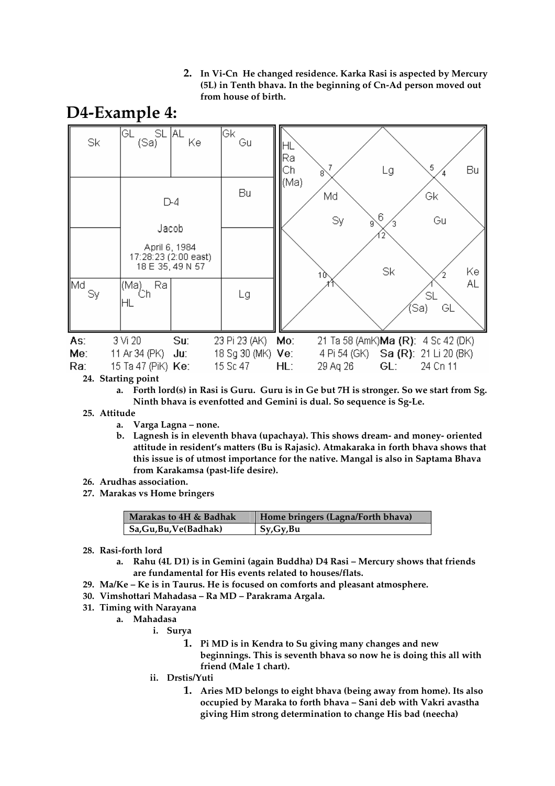2. In Vi-Cn He changed residence. Karka Rasi is aspected by Mercury (5L) in Tenth bhava. In the beginning of Cn-Ad person moved out from house of birth.



#### 24. Starting point

a. Forth lord(s) in Rasi is Guru. Guru is in Ge but 7H is stronger. So we start from Sg. Ninth bhava is evenfotted and Gemini is dual. So sequence is Sg-Le.

### 25. Attitude

- a. Varga Lagna none.
- b. Lagnesh is in eleventh bhava (upachaya). This shows dream- and money- oriented attitude in resident's matters (Bu is Rajasic). Atmakaraka in forth bhava shows that this issue is of utmost importance for the native. Mangal is also in Saptama Bhava from Karakamsa (past-life desire).
- 26. Arudhas association.
- 27. Marakas vs Home bringers

| Marakas to 4H & Badhak  | Home bringers (Lagna/Forth bhava) |
|-------------------------|-----------------------------------|
| Sa, Gu, Bu, Ve (Badhak) | Sy, Gy, Bu                        |

- 28. Rasi-forth lord
	- a. Rahu (4L D1) is in Gemini (again Buddha) D4 Rasi Mercury shows that friends are fundamental for His events related to houses/flats.
- 29. Ma/Ke Ke is in Taurus. He is focused on comforts and pleasant atmosphere.
- 30. Vimshottari Mahadasa Ra MD Parakrama Argala.
- 31. Timing with Narayana
	- a. Mahadasa
		- i. Surya
			- 1. Pi MD is in Kendra to Su giving many changes and new beginnings. This is seventh bhava so now he is doing this all with friend (Male 1 chart).
		- ii. Drstis/Yuti
			- 1. Aries MD belongs to eight bhava (being away from home). Its also occupied by Maraka to forth bhava – Sani deb with Vakri avastha giving Him strong determination to change His bad (neecha)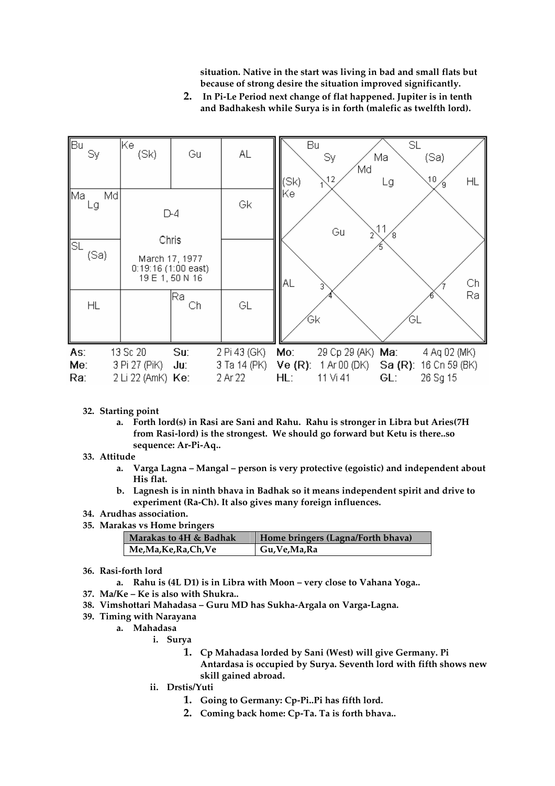situation. Native in the start was living in bad and small flats but because of strong desire the situation improved significantly.

2. In Pi-Le Period next change of flat happened. Jupiter is in tenth and Badhakesh while Surya is in forth (malefic as twelfth lord).



- 32. Starting point
	- a. Forth lord(s) in Rasi are Sani and Rahu. Rahu is stronger in Libra but Aries(7H from Rasi-lord) is the strongest. We should go forward but Ketu is there..so sequence: Ar-Pi-Aq..
- 33. Attitude
	- a. Varga Lagna Mangal person is very protective (egoistic) and independent about His flat.
	- b. Lagnesh is in ninth bhava in Badhak so it means independent spirit and drive to experiment (Ra-Ch). It also gives many foreign influences.
- 34. Arudhas association.
- 35. Marakas vs Home bringers

| Marakas to 4H & Badhak | Home bringers (Lagna/Forth bhava) |
|------------------------|-----------------------------------|
| Me,Ma,Ke,Ra,Ch,Ve      | Gu, Ve, Ma, Ra                    |

- 36. Rasi-forth lord
	- a. Rahu is (4L D1) is in Libra with Moon very close to Vahana Yoga..
- 37. Ma/Ke Ke is also with Shukra..
- 38. Vimshottari Mahadasa Guru MD has Sukha-Argala on Varga-Lagna.
- 39. Timing with Narayana
	- a. Mahadasa
		- i. Surya
			- 1. Cp Mahadasa lorded by Sani (West) will give Germany. Pi Antardasa is occupied by Surya. Seventh lord with fifth shows new skill gained abroad.
		- ii. Drstis/Yuti
			- 1. Going to Germany: Cp-Pi..Pi has fifth lord.
			- 2. Coming back home: Cp-Ta. Ta is forth bhava..